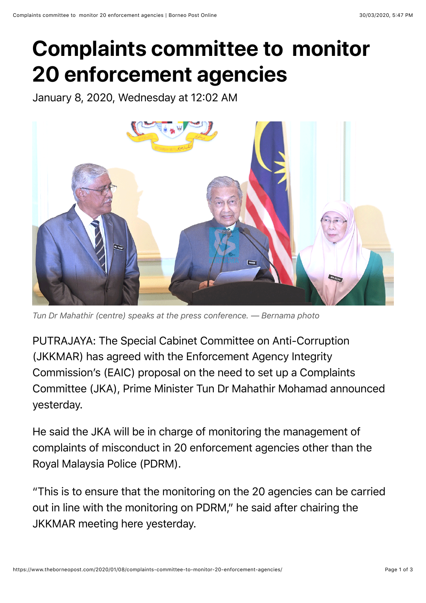## **Complaints committee to monitor 20 enforcement agencies**

January 8, 2020, Wednesday at 12:02 AM



*Tun Dr Mahathir (centre) speaks at the press conference. — Bernama photo*

PUTRAJAYA: The Special Cabinet Committee on Anti-Corruption (JKKMAR) has agreed with the Enforcement Agency Integrity Commission's (EAIC) proposal on the need to set up a Complaints Committee (JKA), Prime Minister Tun Dr Mahathir Mohamad announced yesterday.

He said the JKA will be in charge of monitoring the management of complaints of misconduct in 20 enforcement agencies other than the Royal Malaysia Police (PDRM).

"This is to ensure that the monitoring on the 20 agencies can be carried out in line with the monitoring on PDRM," he said after chairing the JKKMAR meeting here yesterday.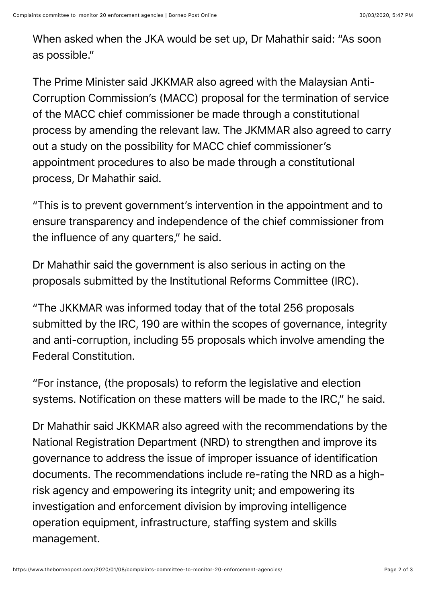When asked when the JKA would be set up, Dr Mahathir said: "As soon as possible."

The Prime Minister said JKKMAR also agreed with the Malaysian Anti-Corruption Commission's (MACC) proposal for the termination of service of the MACC chief commissioner be made through a constitutional process by amending the relevant law. The JKMMAR also agreed to carry out a study on the possibility for MACC chief commissioner's appointment procedures to also be made through a constitutional process, Dr Mahathir said.

"This is to prevent government's intervention in the appointment and to ensure transparency and independence of the chief commissioner from the influence of any quarters," he said.

Dr Mahathir said the government is also serious in acting on the proposals submitted by the Institutional Reforms Committee (IRC).

"The JKKMAR was informed today that of the total 256 proposals submitted by the IRC, 190 are within the scopes of governance, integrity and anti-corruption, including 55 proposals which involve amending the Federal Constitution.

"For instance, (the proposals) to reform the legislative and election systems. Notification on these matters will be made to the IRC," he said.

Dr Mahathir said JKKMAR also agreed with the recommendations by the National Registration Department (NRD) to strengthen and improve its governance to address the issue of improper issuance of identification documents. The recommendations include re-rating the NRD as a highrisk agency and empowering its integrity unit; and empowering its investigation and enforcement division by improving intelligence operation equipment, infrastructure, staffing system and skills management.